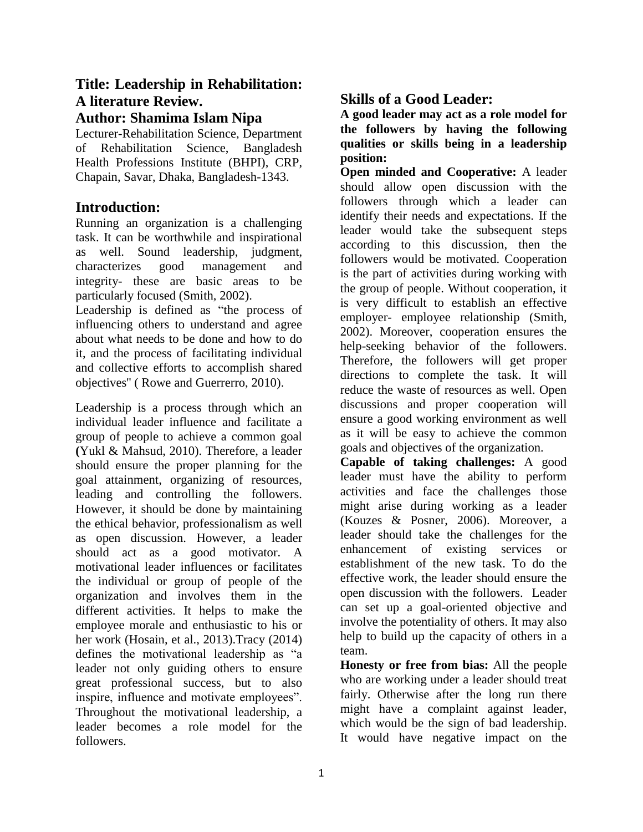# **Title: Leadership in Rehabilitation: A literature Review.**

## **Author: Shamima Islam Nipa**

Lecturer-Rehabilitation Science, Department of Rehabilitation Science, Bangladesh Health Professions Institute (BHPI), CRP, Chapain, Savar, Dhaka, Bangladesh-1343.

### **Introduction:**

Running an organization is a challenging task. It can be worthwhile and inspirational as well. Sound leadership, judgment, characterizes good management and integrity- these are basic areas to be particularly focused (Smith, 2002).

Leadership is defined as "the process of influencing others to understand and agree about what needs to be done and how to do it, and the process of facilitating individual and collective efforts to accomplish shared objectives'' ( Rowe and Guerrerro, 2010).

Leadership is a process through which an individual leader influence and facilitate a group of people to achieve a common goal **(**Yukl & Mahsud, 2010). Therefore, a leader should ensure the proper planning for the goal attainment, organizing of resources, leading and controlling the followers. However, it should be done by maintaining the ethical behavior, professionalism as well as open discussion. However, a leader should act as a good motivator. A motivational leader influences or facilitates the individual or group of people of the organization and involves them in the different activities. It helps to make the employee morale and enthusiastic to his or her work (Hosain, et al., 2013).Tracy (2014) defines the motivational leadership as "a leader not only guiding others to ensure great professional success, but to also inspire, influence and motivate employees". Throughout the motivational leadership, a leader becomes a role model for the followers.

## **Skills of a Good Leader:**

**A good leader may act as a role model for the followers by having the following qualities or skills being in a leadership position:**

**Open minded and Cooperative:** A leader should allow open discussion with the followers through which a leader can identify their needs and expectations. If the leader would take the subsequent steps according to this discussion, then the followers would be motivated. Cooperation is the part of activities during working with the group of people. Without cooperation, it is very difficult to establish an effective employer- employee relationship (Smith, 2002). Moreover, cooperation ensures the help-seeking behavior of the followers. Therefore, the followers will get proper directions to complete the task. It will reduce the waste of resources as well. Open discussions and proper cooperation will ensure a good working environment as well as it will be easy to achieve the common goals and objectives of the organization.

**Capable of taking challenges:** A good leader must have the ability to perform activities and face the challenges those might arise during working as a leader (Kouzes & Posner, 2006). Moreover, a leader should take the challenges for the enhancement of existing services or establishment of the new task. To do the effective work, the leader should ensure the open discussion with the followers. Leader can set up a goal-oriented objective and involve the potentiality of others. It may also help to build up the capacity of others in a team.

**Honesty or free from bias:** All the people who are working under a leader should treat fairly. Otherwise after the long run there might have a complaint against leader, which would be the sign of bad leadership. It would have negative impact on the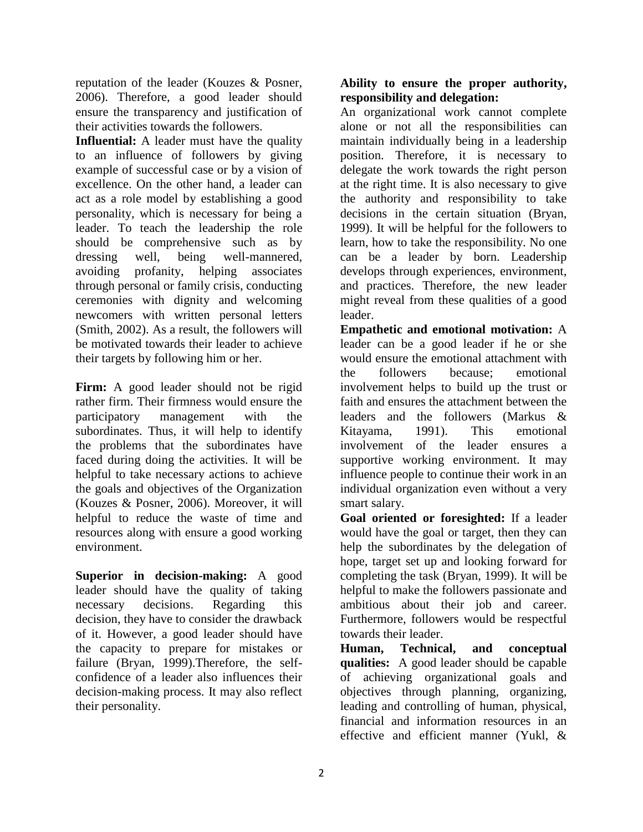reputation of the leader (Kouzes & Posner, 2006). Therefore, a good leader should ensure the transparency and justification of their activities towards the followers.

**Influential:** A leader must have the quality to an influence of followers by giving example of successful case or by a vision of excellence. On the other hand, a leader can act as a role model by establishing a good personality, which is necessary for being a leader. To teach the leadership the role should be comprehensive such as by dressing well, being well-mannered, avoiding profanity, helping associates through personal or family crisis, conducting ceremonies with dignity and welcoming newcomers with written personal letters (Smith, 2002). As a result, the followers will be motivated towards their leader to achieve their targets by following him or her.

**Firm:** A good leader should not be rigid rather firm. Their firmness would ensure the participatory management with the subordinates. Thus, it will help to identify the problems that the subordinates have faced during doing the activities. It will be helpful to take necessary actions to achieve the goals and objectives of the Organization (Kouzes & Posner, 2006). Moreover, it will helpful to reduce the waste of time and resources along with ensure a good working environment.

**Superior in decision-making:** A good leader should have the quality of taking necessary decisions. Regarding this decision, they have to consider the drawback of it. However, a good leader should have the capacity to prepare for mistakes or failure (Bryan, 1999).Therefore, the selfconfidence of a leader also influences their decision-making process. It may also reflect their personality.

#### **Ability to ensure the proper authority, responsibility and delegation:**

An organizational work cannot complete alone or not all the responsibilities can maintain individually being in a leadership position. Therefore, it is necessary to delegate the work towards the right person at the right time. It is also necessary to give the authority and responsibility to take decisions in the certain situation (Bryan, 1999). It will be helpful for the followers to learn, how to take the responsibility. No one can be a leader by born. Leadership develops through experiences, environment, and practices. Therefore, the new leader might reveal from these qualities of a good leader.

**Empathetic and emotional motivation:** A leader can be a good leader if he or she would ensure the emotional attachment with the followers because; emotional involvement helps to build up the trust or faith and ensures the attachment between the leaders and the followers (Markus & Kitayama, 1991). This emotional involvement of the leader ensures a supportive working environment. It may influence people to continue their work in an individual organization even without a very smart salary.

**Goal oriented or foresighted:** If a leader would have the goal or target, then they can help the subordinates by the delegation of hope, target set up and looking forward for completing the task (Bryan, 1999). It will be helpful to make the followers passionate and ambitious about their job and career. Furthermore, followers would be respectful towards their leader.

**Human, Technical, and conceptual qualities:** A good leader should be capable of achieving organizational goals and objectives through planning, organizing, leading and controlling of human, physical, financial and information resources in an effective and efficient manner (Yukl, &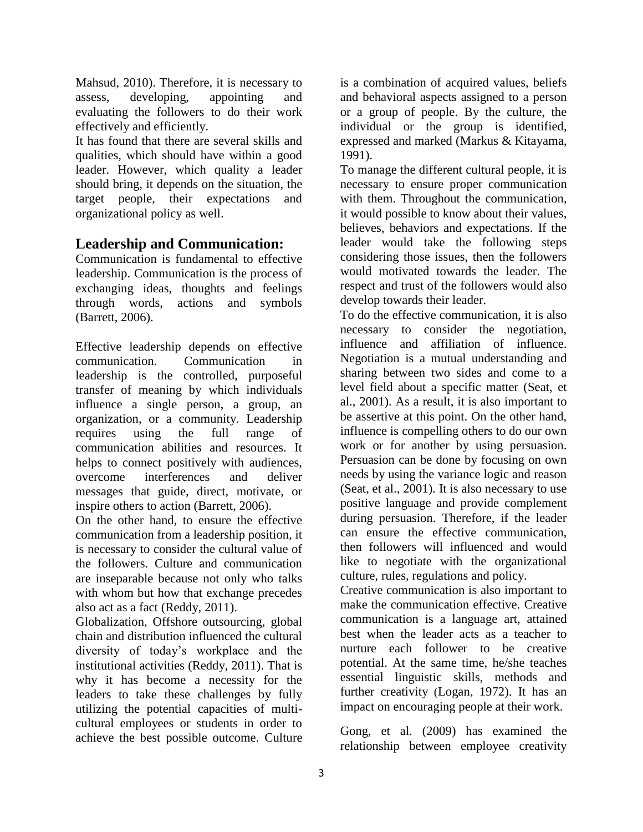Mahsud, 2010). Therefore, it is necessary to assess, developing, appointing and evaluating the followers to do their work effectively and efficiently.

It has found that there are several skills and qualities, which should have within a good leader. However, which quality a leader should bring, it depends on the situation, the target people, their expectations and organizational policy as well.

## **Leadership and Communication:**

Communication is fundamental to effective leadership. Communication is the process of exchanging ideas, thoughts and feelings through words, actions and symbols (Barrett, 2006).

Effective leadership depends on effective communication. Communication in leadership is the controlled, purposeful transfer of meaning by which individuals influence a single person, a group, an organization, or a community. Leadership requires using the full range of communication abilities and resources. It helps to connect positively with audiences, overcome interferences and deliver messages that guide, direct, motivate, or inspire others to action (Barrett, 2006).

On the other hand, to ensure the effective communication from a leadership position, it is necessary to consider the cultural value of the followers. Culture and communication are inseparable because not only who talks with whom but how that exchange precedes also act as a fact (Reddy, 2011).

Globalization, Offshore outsourcing, global chain and distribution influenced the cultural diversity of today's workplace and the institutional activities (Reddy, 2011). That is why it has become a necessity for the leaders to take these challenges by fully utilizing the potential capacities of multicultural employees or students in order to achieve the best possible outcome. Culture

is a combination of acquired values, beliefs and behavioral aspects assigned to a person or a group of people. By the culture, the individual or the group is identified, expressed and marked (Markus & Kitayama, 1991).

To manage the different cultural people, it is necessary to ensure proper communication with them. Throughout the communication, it would possible to know about their values, believes, behaviors and expectations. If the leader would take the following steps considering those issues, then the followers would motivated towards the leader. The respect and trust of the followers would also develop towards their leader.

To do the effective communication, it is also necessary to consider the negotiation, influence and affiliation of influence. Negotiation is a mutual understanding and sharing between two sides and come to a level field about a specific matter (Seat, et al., 2001). As a result, it is also important to be assertive at this point. On the other hand, influence is compelling others to do our own work or for another by using persuasion. Persuasion can be done by focusing on own needs by using the variance logic and reason (Seat, et al., 2001). It is also necessary to use positive language and provide complement during persuasion. Therefore, if the leader can ensure the effective communication, then followers will influenced and would like to negotiate with the organizational culture, rules, regulations and policy.

Creative communication is also important to make the communication effective. Creative communication is a language art, attained best when the leader acts as a teacher to nurture each follower to be creative potential. At the same time, he/she teaches essential linguistic skills, methods and further creativity (Logan, 1972). It has an impact on encouraging people at their work.

Gong, et al. (2009) has examined the relationship between employee creativity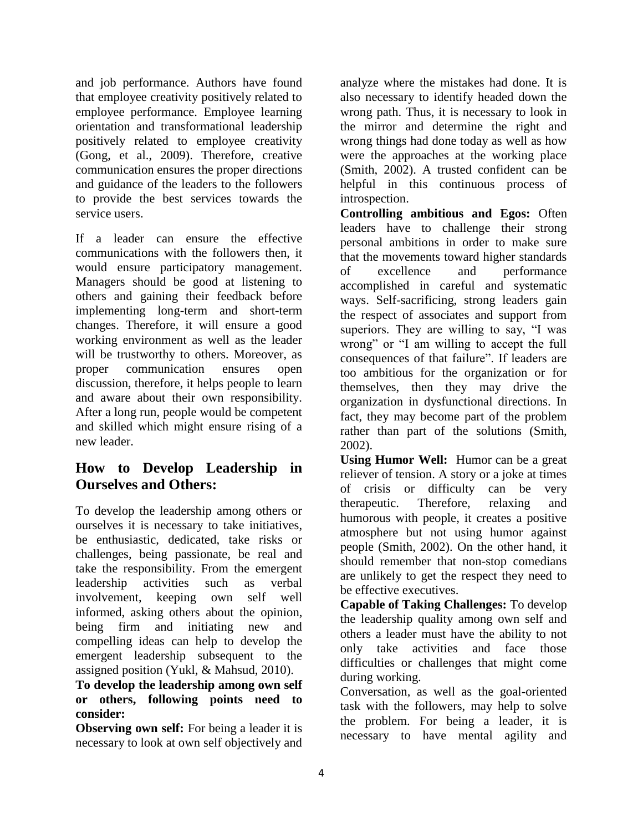and job performance. Authors have found that employee creativity positively related to employee performance. Employee learning orientation and transformational leadership positively related to employee creativity (Gong, et al., 2009). Therefore, creative communication ensures the proper directions and guidance of the leaders to the followers to provide the best services towards the service users.

If a leader can ensure the effective communications with the followers then, it would ensure participatory management. Managers should be good at listening to others and gaining their feedback before implementing long-term and short-term changes. Therefore, it will ensure a good working environment as well as the leader will be trustworthy to others. Moreover, as proper communication ensures open discussion, therefore, it helps people to learn and aware about their own responsibility. After a long run, people would be competent and skilled which might ensure rising of a new leader.

## **How to Develop Leadership in Ourselves and Others:**

To develop the leadership among others or ourselves it is necessary to take initiatives, be enthusiastic, dedicated, take risks or challenges, being passionate, be real and take the responsibility. From the emergent leadership activities such as verbal involvement, keeping own self well informed, asking others about the opinion, being firm and initiating new and compelling ideas can help to develop the emergent leadership subsequent to the assigned position (Yukl, & Mahsud, 2010).

#### **To develop the leadership among own self or others, following points need to consider:**

**Observing own self:** For being a leader it is necessary to look at own self objectively and analyze where the mistakes had done. It is also necessary to identify headed down the wrong path. Thus, it is necessary to look in the mirror and determine the right and wrong things had done today as well as how were the approaches at the working place (Smith, 2002). A trusted confident can be helpful in this continuous process of introspection.

**Controlling ambitious and Egos:** Often leaders have to challenge their strong personal ambitions in order to make sure that the movements toward higher standards of excellence and performance accomplished in careful and systematic ways. Self-sacrificing, strong leaders gain the respect of associates and support from superiors. They are willing to say, "I was wrong" or "I am willing to accept the full consequences of that failure". If leaders are too ambitious for the organization or for themselves, then they may drive the organization in dysfunctional directions. In fact, they may become part of the problem rather than part of the solutions (Smith, 2002).

**Using Humor Well:** Humor can be a great reliever of tension. A story or a joke at times of crisis or difficulty can be very therapeutic. Therefore, relaxing and humorous with people, it creates a positive atmosphere but not using humor against people (Smith, 2002). On the other hand, it should remember that non-stop comedians are unlikely to get the respect they need to be effective executives.

**Capable of Taking Challenges:** To develop the leadership quality among own self and others a leader must have the ability to not only take activities and face those difficulties or challenges that might come during working.

Conversation, as well as the goal-oriented task with the followers, may help to solve the problem. For being a leader, it is necessary to have mental agility and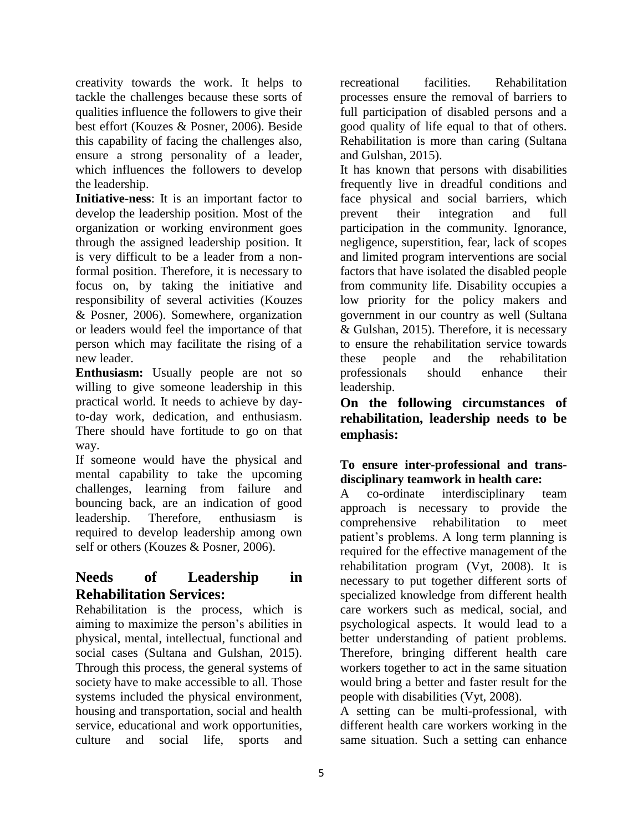creativity towards the work. It helps to tackle the challenges because these sorts of qualities influence the followers to give their best effort (Kouzes & Posner, 2006). Beside this capability of facing the challenges also, ensure a strong personality of a leader, which influences the followers to develop the leadership.

**Initiative-ness**: It is an important factor to develop the leadership position. Most of the organization or working environment goes through the assigned leadership position. It is very difficult to be a leader from a nonformal position. Therefore, it is necessary to focus on, by taking the initiative and responsibility of several activities (Kouzes & Posner, 2006). Somewhere, organization or leaders would feel the importance of that person which may facilitate the rising of a new leader.

**Enthusiasm:** Usually people are not so willing to give someone leadership in this practical world. It needs to achieve by dayto-day work, dedication, and enthusiasm. There should have fortitude to go on that way.

If someone would have the physical and mental capability to take the upcoming challenges, learning from failure and bouncing back, are an indication of good leadership. Therefore, enthusiasm is required to develop leadership among own self or others (Kouzes & Posner, 2006).

## **Needs of Leadership in Rehabilitation Services:**

Rehabilitation is the process, which is aiming to maximize the person's abilities in physical, mental, intellectual, functional and social cases (Sultana and Gulshan, 2015). Through this process, the general systems of society have to make accessible to all. Those systems included the physical environment, housing and transportation, social and health service, educational and work opportunities, culture and social life, sports and

recreational facilities. Rehabilitation processes ensure the removal of barriers to full participation of disabled persons and a good quality of life equal to that of others. Rehabilitation is more than caring (Sultana and Gulshan, 2015).

It has known that persons with disabilities frequently live in dreadful conditions and face physical and social barriers, which prevent their integration and full participation in the community. Ignorance, negligence, superstition, fear, lack of scopes and limited program interventions are social factors that have isolated the disabled people from community life. Disability occupies a low priority for the policy makers and government in our country as well (Sultana & Gulshan, 2015). Therefore, it is necessary to ensure the rehabilitation service towards these people and the rehabilitation professionals should enhance their leadership.

**On the following circumstances of rehabilitation, leadership needs to be emphasis:** 

#### **To ensure inter-professional and transdisciplinary teamwork in health care:**

A co-ordinate interdisciplinary team approach is necessary to provide the comprehensive rehabilitation to meet patient's problems. A long term planning is required for the effective management of the rehabilitation program (Vyt, 2008). It is necessary to put together different sorts of specialized knowledge from different health care workers such as medical, social, and psychological aspects. It would lead to a better understanding of patient problems. Therefore, bringing different health care workers together to act in the same situation would bring a better and faster result for the people with disabilities (Vyt, 2008).

A setting can be multi-professional, with different health care workers working in the same situation. Such a setting can enhance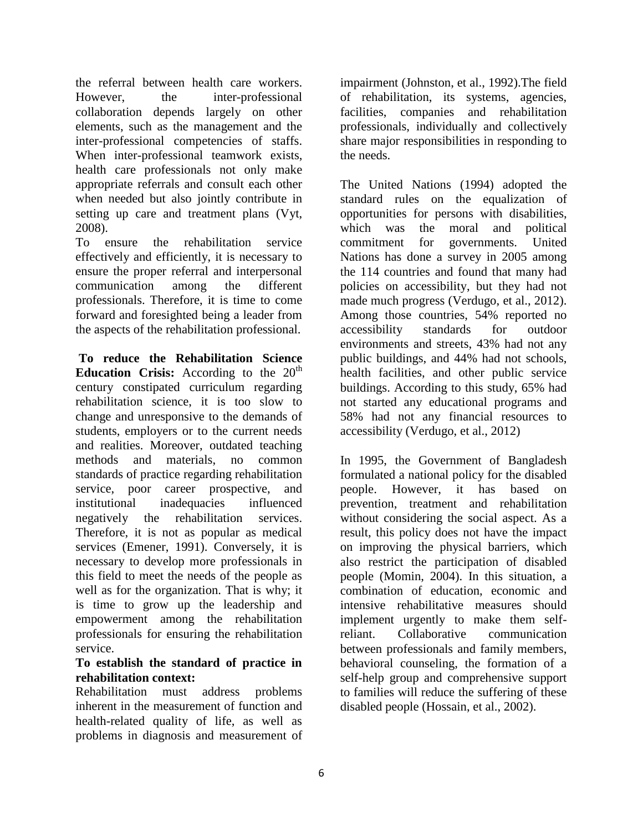the referral between health care workers. However, the inter-professional collaboration depends largely on other elements, such as the management and the inter-professional competencies of staffs. When inter-professional teamwork exists, health care professionals not only make appropriate referrals and consult each other when needed but also jointly contribute in setting up care and treatment plans (Vyt, 2008).

To ensure the rehabilitation service effectively and efficiently, it is necessary to ensure the proper referral and interpersonal communication among the different professionals. Therefore, it is time to come forward and foresighted being a leader from the aspects of the rehabilitation professional.

**To reduce the Rehabilitation Science Education Crisis:** According to the  $20<sup>th</sup>$ century constipated curriculum regarding rehabilitation science, it is too slow to change and unresponsive to the demands of students, employers or to the current needs and realities. Moreover, outdated teaching methods and materials, no common standards of practice regarding rehabilitation service, poor career prospective, and institutional inadequacies influenced negatively the rehabilitation services. Therefore, it is not as popular as medical services (Emener, 1991). Conversely, it is necessary to develop more professionals in this field to meet the needs of the people as well as for the organization. That is why; it is time to grow up the leadership and empowerment among the rehabilitation professionals for ensuring the rehabilitation service.

#### **To establish the standard of practice in rehabilitation context:**

Rehabilitation must address problems inherent in the measurement of function and health-related quality of life, as well as problems in diagnosis and measurement of

impairment (Johnston, et al., 1992).The field of rehabilitation, its systems, agencies, facilities, companies and rehabilitation professionals, individually and collectively share major responsibilities in responding to the needs.

The United Nations (1994) adopted the standard rules on the equalization of opportunities for persons with disabilities, which was the moral and political commitment for governments. United Nations has done a survey in 2005 among the 114 countries and found that many had policies on accessibility, but they had not made much progress (Verdugo, et al., 2012). Among those countries, 54% reported no accessibility standards for outdoor environments and streets, 43% had not any public buildings, and 44% had not schools, health facilities, and other public service buildings. According to this study, 65% had not started any educational programs and 58% had not any financial resources to accessibility (Verdugo, et al., 2012)

In 1995, the Government of Bangladesh formulated a national policy for the disabled people. However, it has based on prevention, treatment and rehabilitation without considering the social aspect. As a result, this policy does not have the impact on improving the physical barriers, which also restrict the participation of disabled people (Momin, 2004). In this situation, a combination of education, economic and intensive rehabilitative measures should implement urgently to make them selfreliant. Collaborative communication between professionals and family members, behavioral counseling, the formation of a self-help group and comprehensive support to families will reduce the suffering of these disabled people (Hossain, et al., 2002).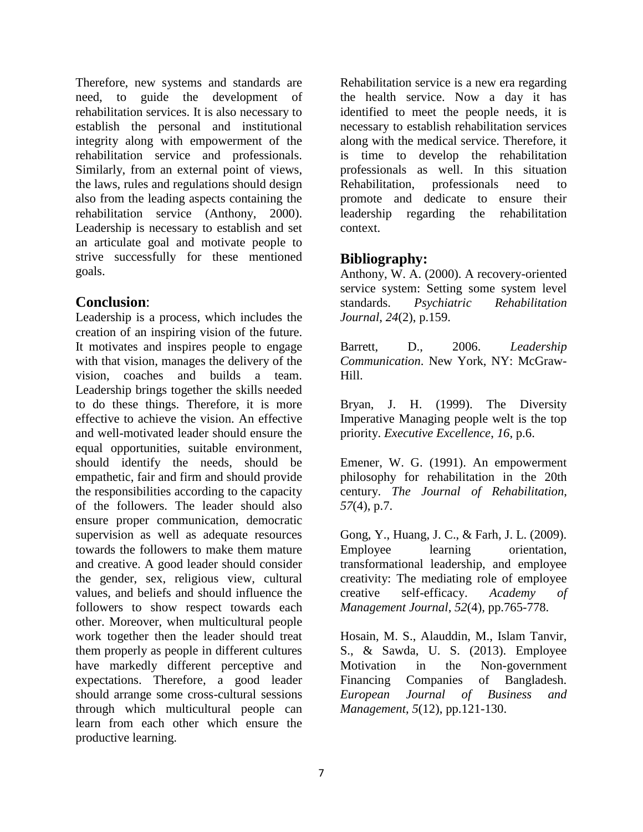Therefore, new systems and standards are need, to guide the development of rehabilitation services. It is also necessary to establish the personal and institutional integrity along with empowerment of the rehabilitation service and professionals. Similarly, from an external point of views, the laws, rules and regulations should design also from the leading aspects containing the rehabilitation service (Anthony, 2000). Leadership is necessary to establish and set an articulate goal and motivate people to strive successfully for these mentioned goals.

## **Conclusion**:

Leadership is a process, which includes the creation of an inspiring vision of the future. It motivates and inspires people to engage with that vision, manages the delivery of the vision, coaches and builds a team. Leadership brings together the skills needed to do these things. Therefore, it is more effective to achieve the vision. An effective and well-motivated leader should ensure the equal opportunities, suitable environment, should identify the needs, should be empathetic, fair and firm and should provide the responsibilities according to the capacity of the followers. The leader should also ensure proper communication, democratic supervision as well as adequate resources towards the followers to make them mature and creative. A good leader should consider the gender, sex, religious view, cultural values, and beliefs and should influence the followers to show respect towards each other. Moreover, when multicultural people work together then the leader should treat them properly as people in different cultures have markedly different perceptive and expectations. Therefore, a good leader should arrange some cross-cultural sessions through which multicultural people can learn from each other which ensure the productive learning.

Rehabilitation service is a new era regarding the health service. Now a day it has identified to meet the people needs, it is necessary to establish rehabilitation services along with the medical service. Therefore, it is time to develop the rehabilitation professionals as well. In this situation Rehabilitation, professionals need to promote and dedicate to ensure their leadership regarding the rehabilitation context.

## **Bibliography:**

Anthony, W. A. (2000). A recovery-oriented service system: Setting some system level standards. *Psychiatric Rehabilitation Journal*, *24*(2), p.159.

Barrett, D., 2006. *Leadership Communication*. New York, NY: McGraw-Hill.

Bryan, J. H. (1999). The Diversity Imperative Managing people welt is the top priority. *Executive Excellence*, *16*, p.6.

Emener, W. G. (1991). An empowerment philosophy for rehabilitation in the 20th century. *The Journal of Rehabilitation*, *57*(4), p.7.

Gong, Y., Huang, J. C., & Farh, J. L. (2009). Employee learning orientation, transformational leadership, and employee creativity: The mediating role of employee creative self-efficacy. *Academy of Management Journal*, *52*(4), pp.765-778.

Hosain, M. S., Alauddin, M., Islam Tanvir, S., & Sawda, U. S. (2013). Employee Motivation in the Non-government Financing Companies of Bangladesh. *European Journal of Business and Management*, *5*(12), pp.121-130.